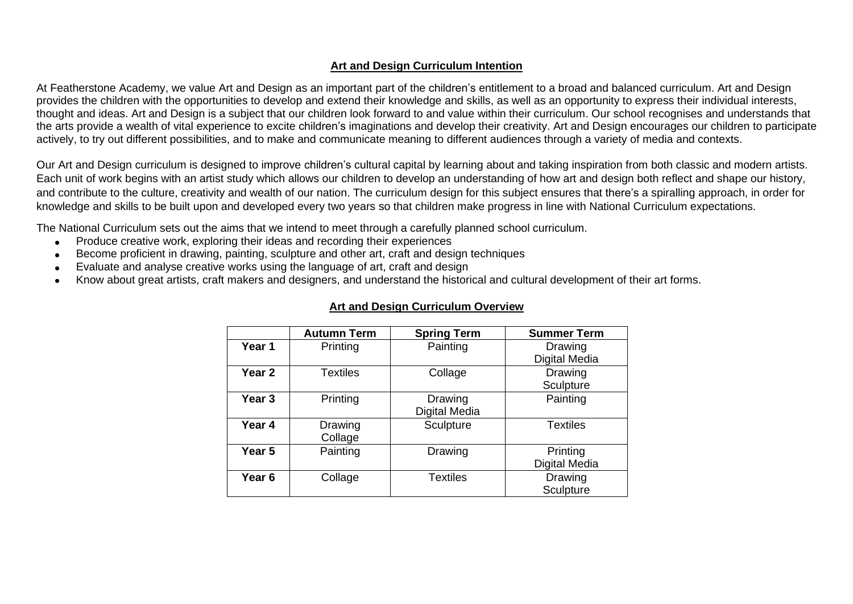## **Art and Design Curriculum Intention**

At Featherstone Academy, we value Art and Design as an important part of the children's entitlement to a broad and balanced curriculum. Art and Design provides the children with the opportunities to develop and extend their knowledge and skills, as well as an opportunity to express their individual interests, thought and ideas. Art and Design is a subject that our children look forward to and value within their curriculum. Our school recognises and understands that the arts provide a wealth of vital experience to excite children's imaginations and develop their creativity. Art and Design encourages our children to participate actively, to try out different possibilities, and to make and communicate meaning to different audiences through a variety of media and contexts.

Our Art and Design curriculum is designed to improve children's cultural capital by learning about and taking inspiration from both classic and modern artists. Each unit of work begins with an artist study which allows our children to develop an understanding of how art and design both reflect and shape our history, and contribute to the culture, creativity and wealth of our nation. The curriculum design for this subject ensures that there's a spiralling approach, in order for knowledge and skills to be built upon and developed every two years so that children make progress in line with National Curriculum expectations.

The National Curriculum sets out the aims that we intend to meet through a carefully planned school curriculum.

- Produce creative work, exploring their ideas and recording their experiences
- Become proficient in drawing, painting, sculpture and other art, craft and design techniques
- Evaluate and analyse creative works using the language of art, craft and design
- Know about great artists, craft makers and designers, and understand the historical and cultural development of their art forms.

|                   | <b>Autumn Term</b> | <b>Spring Term</b> | <b>Summer Term</b> |
|-------------------|--------------------|--------------------|--------------------|
| Year 1            | Printing           | Painting           | Drawing            |
|                   |                    |                    | Digital Media      |
| Year 2            | <b>Textiles</b>    | Collage            | Drawing            |
|                   |                    |                    | Sculpture          |
| Year <sub>3</sub> | Printing           | Drawing            | Painting           |
|                   |                    | Digital Media      |                    |
| Year 4            | Drawing            | Sculpture          | <b>Textiles</b>    |
|                   | Collage            |                    |                    |
| Year 5            | Painting           | Drawing            | Printing           |
|                   |                    |                    | Digital Media      |
| Year <sub>6</sub> | Collage            | <b>Textiles</b>    | Drawing            |
|                   |                    |                    | Sculpture          |

## **Art and Design Curriculum Overview**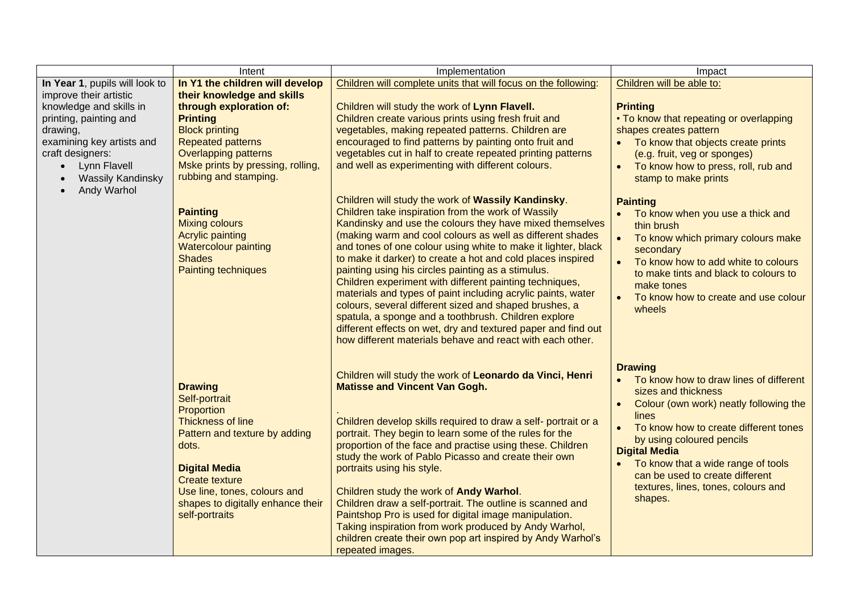|                                | Intent                            | Implementation                                                                                                         | Impact                                              |
|--------------------------------|-----------------------------------|------------------------------------------------------------------------------------------------------------------------|-----------------------------------------------------|
| In Year 1, pupils will look to | In Y1 the children will develop   | Children will complete units that will focus on the following:                                                         | Children will be able to:                           |
| improve their artistic         | their knowledge and skills        |                                                                                                                        |                                                     |
| knowledge and skills in        | through exploration of:           | Children will study the work of Lynn Flavell.                                                                          | <b>Printing</b>                                     |
| printing, painting and         | <b>Printing</b>                   | Children create various prints using fresh fruit and                                                                   | • To know that repeating or overlapping             |
| drawing,                       | <b>Block printing</b>             | vegetables, making repeated patterns. Children are                                                                     | shapes creates pattern                              |
| examining key artists and      | <b>Repeated patterns</b>          | encouraged to find patterns by painting onto fruit and                                                                 | To know that objects create prints                  |
| craft designers:               | <b>Overlapping patterns</b>       | vegetables cut in half to create repeated printing patterns                                                            | (e.g. fruit, veg or sponges)                        |
| • Lynn Flavell                 | Mske prints by pressing, rolling, | and well as experimenting with different colours.                                                                      | To know how to press, roll, rub and<br>$\bullet$    |
| <b>Wassily Kandinsky</b>       | rubbing and stamping.             |                                                                                                                        | stamp to make prints                                |
| Andy Warhol                    |                                   |                                                                                                                        |                                                     |
|                                |                                   | Children will study the work of Wassily Kandinsky.                                                                     | <b>Painting</b>                                     |
|                                | <b>Painting</b>                   | Children take inspiration from the work of Wassily                                                                     | To know when you use a thick and                    |
|                                | <b>Mixing colours</b>             | Kandinsky and use the colours they have mixed themselves                                                               | thin brush                                          |
|                                | <b>Acrylic painting</b>           | (making warm and cool colours as well as different shades                                                              | To know which primary colours make                  |
|                                | <b>Watercolour painting</b>       | and tones of one colour using white to make it lighter, black                                                          | secondary                                           |
|                                | <b>Shades</b>                     | to make it darker) to create a hot and cold places inspired                                                            | To know how to add white to colours                 |
|                                | Painting techniques               | painting using his circles painting as a stimulus.                                                                     | to make tints and black to colours to               |
|                                |                                   | Children experiment with different painting techniques,                                                                | make tones                                          |
|                                |                                   | materials and types of paint including acrylic paints, water<br>colours, several different sized and shaped brushes, a | To know how to create and use colour<br>$\bullet$   |
|                                |                                   | spatula, a sponge and a toothbrush. Children explore                                                                   | wheels                                              |
|                                |                                   | different effects on wet, dry and textured paper and find out                                                          |                                                     |
|                                |                                   | how different materials behave and react with each other.                                                              |                                                     |
|                                |                                   |                                                                                                                        |                                                     |
|                                |                                   |                                                                                                                        |                                                     |
|                                |                                   | Children will study the work of Leonardo da Vinci, Henri                                                               | <b>Drawing</b>                                      |
|                                | <b>Drawing</b>                    | <b>Matisse and Vincent Van Gogh.</b>                                                                                   | To know how to draw lines of different<br>$\bullet$ |
|                                | Self-portrait                     |                                                                                                                        | sizes and thickness                                 |
|                                | Proportion                        |                                                                                                                        | Colour (own work) neatly following the<br>$\bullet$ |
|                                | Thickness of line                 | Children develop skills required to draw a self- portrait or a                                                         | lines                                               |
|                                | Pattern and texture by adding     | portrait. They begin to learn some of the rules for the                                                                | To know how to create different tones<br>$\bullet$  |
|                                | dots.                             | proportion of the face and practise using these. Children                                                              | by using coloured pencils                           |
|                                |                                   | study the work of Pablo Picasso and create their own                                                                   | <b>Digital Media</b>                                |
|                                | <b>Digital Media</b>              | portraits using his style.                                                                                             | To know that a wide range of tools                  |
|                                | <b>Create texture</b>             |                                                                                                                        | can be used to create different                     |
|                                | Use line, tones, colours and      | Children study the work of Andy Warhol.                                                                                | textures, lines, tones, colours and                 |
|                                | shapes to digitally enhance their | Children draw a self-portrait. The outline is scanned and                                                              | shapes.                                             |
|                                | self-portraits                    | Paintshop Pro is used for digital image manipulation.                                                                  |                                                     |
|                                |                                   | Taking inspiration from work produced by Andy Warhol,                                                                  |                                                     |
|                                |                                   | children create their own pop art inspired by Andy Warhol's                                                            |                                                     |
|                                |                                   | repeated images.                                                                                                       |                                                     |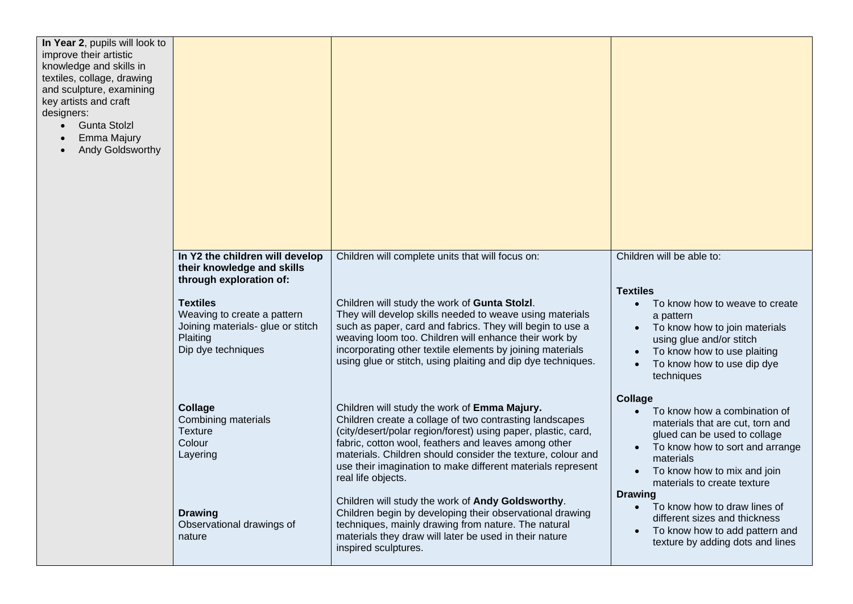| In Year 2, pupils will look to<br>improve their artistic<br>knowledge and skills in<br>textiles, collage, drawing<br>and sculpture, examining<br>key artists and craft<br>designers:<br><b>Gunta Stolzl</b><br>$\bullet$<br>Emma Majury<br>Andy Goldsworthy |                                                                                                                                                                                                                   |                                                                                                                                                                                                                                                                                                                                                                                                                                                                                                                                                                                                                                                |                                                                                                                                                                                                                                                                                                                                                                                                        |
|-------------------------------------------------------------------------------------------------------------------------------------------------------------------------------------------------------------------------------------------------------------|-------------------------------------------------------------------------------------------------------------------------------------------------------------------------------------------------------------------|------------------------------------------------------------------------------------------------------------------------------------------------------------------------------------------------------------------------------------------------------------------------------------------------------------------------------------------------------------------------------------------------------------------------------------------------------------------------------------------------------------------------------------------------------------------------------------------------------------------------------------------------|--------------------------------------------------------------------------------------------------------------------------------------------------------------------------------------------------------------------------------------------------------------------------------------------------------------------------------------------------------------------------------------------------------|
|                                                                                                                                                                                                                                                             | In Y2 the children will develop<br>their knowledge and skills<br>through exploration of:<br><b>Textiles</b><br>Weaving to create a pattern<br>Joining materials- glue or stitch<br>Plaiting<br>Dip dye techniques | Children will complete units that will focus on:<br>Children will study the work of Gunta Stolzl.<br>They will develop skills needed to weave using materials<br>such as paper, card and fabrics. They will begin to use a<br>weaving loom too. Children will enhance their work by<br>incorporating other textile elements by joining materials<br>using glue or stitch, using plaiting and dip dye techniques.                                                                                                                                                                                                                               | Children will be able to:<br><b>Textiles</b><br>To know how to weave to create<br>a pattern<br>To know how to join materials<br>using glue and/or stitch<br>To know how to use plaiting<br>To know how to use dip dye<br>techniques                                                                                                                                                                    |
|                                                                                                                                                                                                                                                             | Collage<br>Combining materials<br><b>Texture</b><br>Colour<br>Layering<br><b>Drawing</b><br>Observational drawings of<br>nature                                                                                   | Children will study the work of Emma Majury.<br>Children create a collage of two contrasting landscapes<br>(city/desert/polar region/forest) using paper, plastic, card,<br>fabric, cotton wool, feathers and leaves among other<br>materials. Children should consider the texture, colour and<br>use their imagination to make different materials represent<br>real life objects.<br>Children will study the work of Andy Goldsworthy.<br>Children begin by developing their observational drawing<br>techniques, mainly drawing from nature. The natural<br>materials they draw will later be used in their nature<br>inspired sculptures. | <b>Collage</b><br>To know how a combination of<br>materials that are cut, torn and<br>glued can be used to collage<br>To know how to sort and arrange<br>materials<br>To know how to mix and join<br>materials to create texture<br><b>Drawing</b><br>To know how to draw lines of<br>$\bullet$<br>different sizes and thickness<br>To know how to add pattern and<br>texture by adding dots and lines |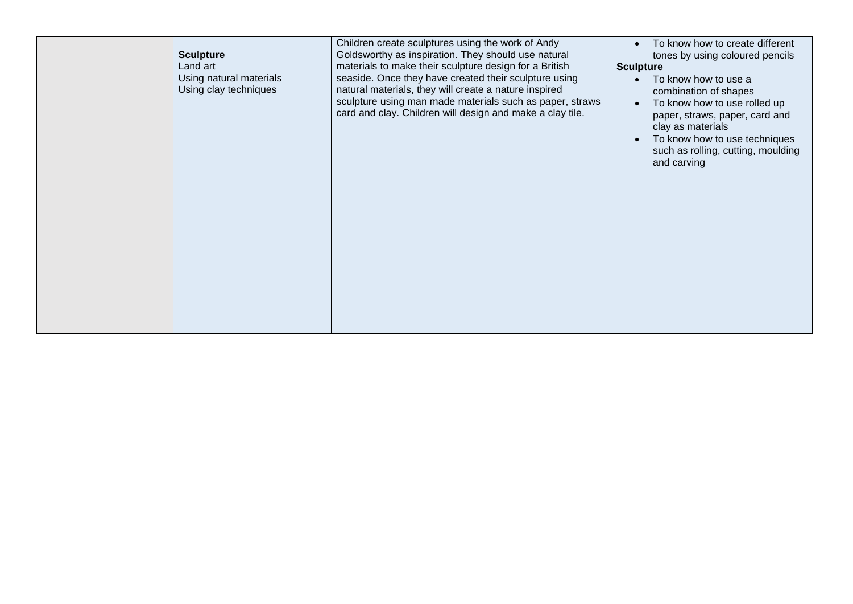| Children create sculptures using the work of Andy<br>Goldsworthy as inspiration. They should use natural<br><b>Sculpture</b><br>Land art<br>materials to make their sculpture design for a British<br>Using natural materials<br>seaside. Once they have created their sculpture using<br>Using clay techniques<br>natural materials, they will create a nature inspired<br>card and clay. Children will design and make a clay tile. | To know how to create different<br>$\bullet$<br>tones by using coloured pencils<br><b>Sculpture</b><br>To know how to use a<br>combination of shapes<br>sculpture using man made materials such as paper, straws<br>To know how to use rolled up<br>paper, straws, paper, card and<br>clay as materials<br>To know how to use techniques<br>$\bullet$<br>such as rolling, cutting, moulding<br>and carving |
|---------------------------------------------------------------------------------------------------------------------------------------------------------------------------------------------------------------------------------------------------------------------------------------------------------------------------------------------------------------------------------------------------------------------------------------|------------------------------------------------------------------------------------------------------------------------------------------------------------------------------------------------------------------------------------------------------------------------------------------------------------------------------------------------------------------------------------------------------------|
|---------------------------------------------------------------------------------------------------------------------------------------------------------------------------------------------------------------------------------------------------------------------------------------------------------------------------------------------------------------------------------------------------------------------------------------|------------------------------------------------------------------------------------------------------------------------------------------------------------------------------------------------------------------------------------------------------------------------------------------------------------------------------------------------------------------------------------------------------------|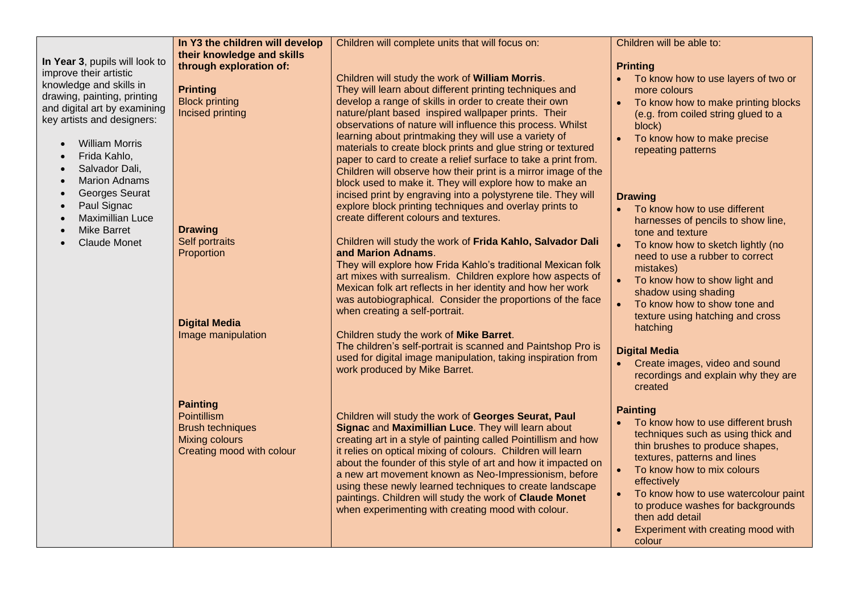|                                                                                                                                                                                                                                                                                                         | In Y3 the children will develop                                                                                 | Children will complete units that will focus on:                                                                                                                                                                                                                                                                                                                                                                                                                                                                                                                                                                  | Children will be able to:                                                                                                                                                                                                                                                                                                                                                              |
|---------------------------------------------------------------------------------------------------------------------------------------------------------------------------------------------------------------------------------------------------------------------------------------------------------|-----------------------------------------------------------------------------------------------------------------|-------------------------------------------------------------------------------------------------------------------------------------------------------------------------------------------------------------------------------------------------------------------------------------------------------------------------------------------------------------------------------------------------------------------------------------------------------------------------------------------------------------------------------------------------------------------------------------------------------------------|----------------------------------------------------------------------------------------------------------------------------------------------------------------------------------------------------------------------------------------------------------------------------------------------------------------------------------------------------------------------------------------|
| In Year 3, pupils will look to                                                                                                                                                                                                                                                                          | their knowledge and skills<br>through exploration of:                                                           |                                                                                                                                                                                                                                                                                                                                                                                                                                                                                                                                                                                                                   | <b>Printing</b>                                                                                                                                                                                                                                                                                                                                                                        |
| improve their artistic<br>knowledge and skills in<br>drawing, painting, printing<br>and digital art by examining<br>key artists and designers:<br><b>William Morris</b><br>Frida Kahlo,<br>$\bullet$<br>Salvador Dali,<br>$\bullet$<br><b>Marion Adnams</b><br>$\bullet$<br>Georges Seurat<br>$\bullet$ | <b>Printing</b><br><b>Block printing</b><br>Incised printing                                                    | Children will study the work of William Morris.<br>They will learn about different printing techniques and<br>develop a range of skills in order to create their own<br>nature/plant based inspired wallpaper prints. Their<br>observations of nature will influence this process. Whilst<br>learning about printmaking they will use a variety of<br>materials to create block prints and glue string or textured<br>paper to card to create a relief surface to take a print from.<br>Children will observe how their print is a mirror image of the<br>block used to make it. They will explore how to make an | To know how to use layers of two or<br>more colours<br>To know how to make printing blocks<br>(e.g. from coiled string glued to a<br>block)<br>To know how to make precise<br>$\bullet$<br>repeating patterns                                                                                                                                                                          |
| Paul Signac<br>$\bullet$<br><b>Maximillian Luce</b><br>$\bullet$                                                                                                                                                                                                                                        |                                                                                                                 | incised print by engraving into a polystyrene tile. They will<br>explore block printing techniques and overlay prints to<br>create different colours and textures.                                                                                                                                                                                                                                                                                                                                                                                                                                                | <b>Drawing</b><br>• To know how to use different<br>harnesses of pencils to show line,                                                                                                                                                                                                                                                                                                 |
| <b>Mike Barret</b><br><b>Claude Monet</b>                                                                                                                                                                                                                                                               | <b>Drawing</b><br>Self portraits<br>Proportion<br><b>Digital Media</b><br>Image manipulation                    | Children will study the work of Frida Kahlo, Salvador Dali<br>and Marion Adnams.<br>They will explore how Frida Kahlo's traditional Mexican folk<br>art mixes with surrealism. Children explore how aspects of<br>Mexican folk art reflects in her identity and how her work<br>was autobiographical. Consider the proportions of the face<br>when creating a self-portrait.<br>Children study the work of Mike Barret.<br>The children's self-portrait is scanned and Paintshop Pro is<br>used for digital image manipulation, taking inspiration from<br>work produced by Mike Barret.                          | tone and texture<br>$\bullet$<br>To know how to sketch lightly (no<br>need to use a rubber to correct<br>mistakes)<br>To know how to show light and<br>shadow using shading<br>$\bullet$<br>To know how to show tone and<br>texture using hatching and cross<br>hatching<br><b>Digital Media</b><br>• Create images, video and sound<br>recordings and explain why they are<br>created |
|                                                                                                                                                                                                                                                                                                         | <b>Painting</b><br>Pointillism<br><b>Brush techniques</b><br><b>Mixing colours</b><br>Creating mood with colour | Children will study the work of Georges Seurat, Paul<br>Signac and Maximillian Luce. They will learn about<br>creating art in a style of painting called Pointillism and how<br>it relies on optical mixing of colours. Children will learn<br>about the founder of this style of art and how it impacted on<br>a new art movement known as Neo-Impressionism, before<br>using these newly learned techniques to create landscape<br>paintings. Children will study the work of Claude Monet<br>when experimenting with creating mood with colour.                                                                | <b>Painting</b><br>To know how to use different brush<br>techniques such as using thick and<br>thin brushes to produce shapes,<br>textures, patterns and lines<br>To know how to mix colours<br>$\bullet$<br>effectively<br>To know how to use watercolour paint<br>$\bullet$<br>to produce washes for backgrounds<br>then add detail<br>Experiment with creating mood with<br>colour  |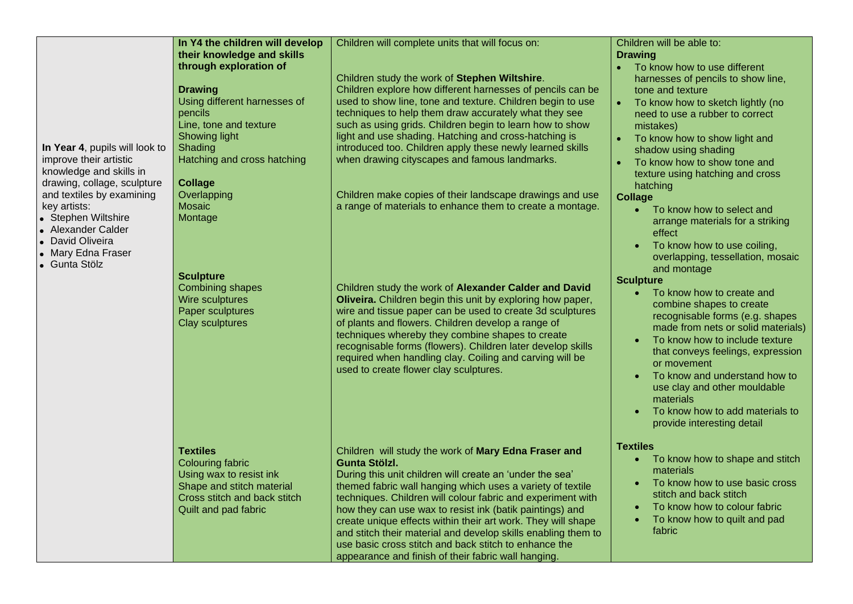| In Year 4, pupils will look to<br>improve their artistic<br>knowledge and skills in<br>drawing, collage, sculpture<br>and textiles by examining<br>key artists:<br>• Stephen Wiltshire<br>• Alexander Calder<br>David Oliveira<br>• Mary Edna Fraser<br>• Gunta Stölz | In Y4 the children will develop<br>their knowledge and skills<br>through exploration of<br><b>Drawing</b><br>Using different harnesses of<br>pencils<br>Line, tone and texture<br><b>Showing light</b><br>Shading<br>Hatching and cross hatching<br><b>Collage</b><br>Overlapping<br><b>Mosaic</b><br>Montage<br><b>Sculpture</b><br><b>Combining shapes</b><br>Wire sculptures<br>Paper sculptures<br><b>Clay sculptures</b> | Children will complete units that will focus on:<br>Children study the work of Stephen Wiltshire.<br>Children explore how different harnesses of pencils can be<br>used to show line, tone and texture. Children begin to use<br>techniques to help them draw accurately what they see<br>such as using grids. Children begin to learn how to show<br>light and use shading. Hatching and cross-hatching is<br>introduced too. Children apply these newly learned skills<br>when drawing cityscapes and famous landmarks.<br>Children make copies of their landscape drawings and use<br>a range of materials to enhance them to create a montage.<br>Children study the work of Alexander Calder and David<br>Oliveira. Children begin this unit by exploring how paper,<br>wire and tissue paper can be used to create 3d sculptures<br>of plants and flowers. Children develop a range of<br>techniques whereby they combine shapes to create<br>recognisable forms (flowers). Children later develop skills<br>required when handling clay. Coiling and carving will be<br>used to create flower clay sculptures. | Children will be able to:<br><b>Drawing</b><br>To know how to use different<br>harnesses of pencils to show line,<br>tone and texture<br>To know how to sketch lightly (no<br>need to use a rubber to correct<br>mistakes)<br>To know how to show light and<br>shadow using shading<br>To know how to show tone and<br>texture using hatching and cross<br>hatching<br><b>Collage</b><br>To know how to select and<br>$\bullet$<br>arrange materials for a striking<br>effect<br>To know how to use coiling,<br>overlapping, tessellation, mosaic<br>and montage<br><b>Sculpture</b><br>To know how to create and<br>$\bullet$<br>combine shapes to create<br>recognisable forms (e.g. shapes<br>made from nets or solid materials)<br>To know how to include texture<br>that conveys feelings, expression<br>or movement<br>To know and understand how to<br>use clay and other mouldable<br>materials<br>To know how to add materials to |
|-----------------------------------------------------------------------------------------------------------------------------------------------------------------------------------------------------------------------------------------------------------------------|-------------------------------------------------------------------------------------------------------------------------------------------------------------------------------------------------------------------------------------------------------------------------------------------------------------------------------------------------------------------------------------------------------------------------------|-----------------------------------------------------------------------------------------------------------------------------------------------------------------------------------------------------------------------------------------------------------------------------------------------------------------------------------------------------------------------------------------------------------------------------------------------------------------------------------------------------------------------------------------------------------------------------------------------------------------------------------------------------------------------------------------------------------------------------------------------------------------------------------------------------------------------------------------------------------------------------------------------------------------------------------------------------------------------------------------------------------------------------------------------------------------------------------------------------------------------|--------------------------------------------------------------------------------------------------------------------------------------------------------------------------------------------------------------------------------------------------------------------------------------------------------------------------------------------------------------------------------------------------------------------------------------------------------------------------------------------------------------------------------------------------------------------------------------------------------------------------------------------------------------------------------------------------------------------------------------------------------------------------------------------------------------------------------------------------------------------------------------------------------------------------------------------|
|                                                                                                                                                                                                                                                                       | <b>Textiles</b><br><b>Colouring fabric</b><br>Using wax to resist ink<br>Shape and stitch material<br>Cross stitch and back stitch<br>Quilt and pad fabric                                                                                                                                                                                                                                                                    | Children will study the work of Mary Edna Fraser and<br><b>Gunta Stölzl.</b><br>During this unit children will create an 'under the sea'<br>themed fabric wall hanging which uses a variety of textile<br>techniques. Children will colour fabric and experiment with<br>how they can use wax to resist ink (batik paintings) and<br>create unique effects within their art work. They will shape<br>and stitch their material and develop skills enabling them to<br>use basic cross stitch and back stitch to enhance the<br>appearance and finish of their fabric wall hanging.                                                                                                                                                                                                                                                                                                                                                                                                                                                                                                                                    | provide interesting detail<br><b>Textiles</b><br>To know how to shape and stitch<br>materials<br>To know how to use basic cross<br>stitch and back stitch<br>To know how to colour fabric<br>To know how to quilt and pad<br>fabric                                                                                                                                                                                                                                                                                                                                                                                                                                                                                                                                                                                                                                                                                                        |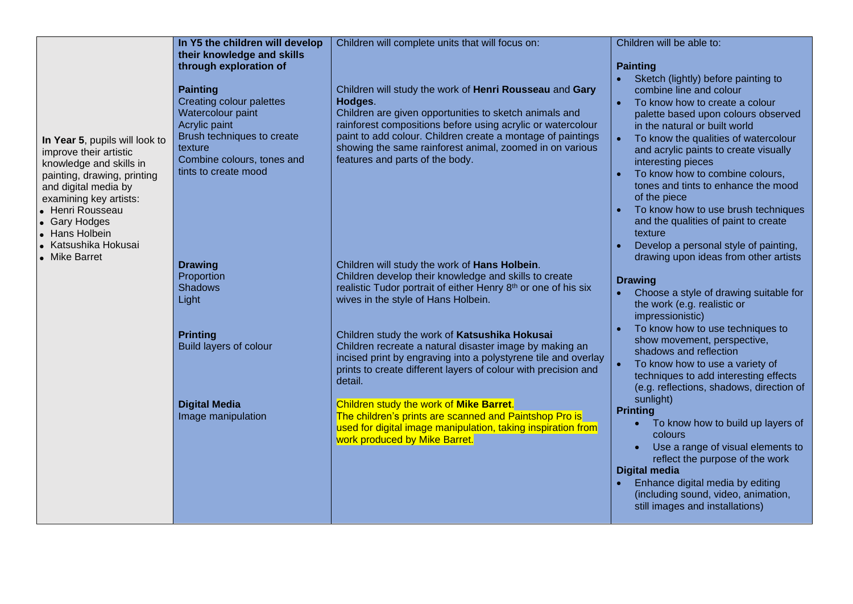|                                                                                                                                                                                                                                                                      | In Y5 the children will develop                                                                                                                                                                                                                                                                                                                                                                       |                                                                                                                                                                                                                                                                                                                                                                                                                                                                                                                                                                                                                                                                                                                                                                                                                                                                                                                                                                                                                                                                                                   | Children will be able to:                                                                                                                                                                                                                                                                                                                                                                                                                                                                                                                                                                                                                                                                                                                                                                                                                                                                                                                                                                                                                                                                                                                                                               |
|----------------------------------------------------------------------------------------------------------------------------------------------------------------------------------------------------------------------------------------------------------------------|-------------------------------------------------------------------------------------------------------------------------------------------------------------------------------------------------------------------------------------------------------------------------------------------------------------------------------------------------------------------------------------------------------|---------------------------------------------------------------------------------------------------------------------------------------------------------------------------------------------------------------------------------------------------------------------------------------------------------------------------------------------------------------------------------------------------------------------------------------------------------------------------------------------------------------------------------------------------------------------------------------------------------------------------------------------------------------------------------------------------------------------------------------------------------------------------------------------------------------------------------------------------------------------------------------------------------------------------------------------------------------------------------------------------------------------------------------------------------------------------------------------------|-----------------------------------------------------------------------------------------------------------------------------------------------------------------------------------------------------------------------------------------------------------------------------------------------------------------------------------------------------------------------------------------------------------------------------------------------------------------------------------------------------------------------------------------------------------------------------------------------------------------------------------------------------------------------------------------------------------------------------------------------------------------------------------------------------------------------------------------------------------------------------------------------------------------------------------------------------------------------------------------------------------------------------------------------------------------------------------------------------------------------------------------------------------------------------------------|
| In Year 5, pupils will look to<br>improve their artistic<br>knowledge and skills in<br>painting, drawing, printing<br>and digital media by<br>examining key artists:<br>• Henri Rousseau<br>• Gary Hodges<br>• Hans Holbein<br>• Katsushika Hokusai<br>• Mike Barret | their knowledge and skills<br>through exploration of<br><b>Painting</b><br>Creating colour palettes<br>Watercolour paint<br>Acrylic paint<br>Brush techniques to create<br>texture<br>Combine colours, tones and<br>tints to create mood<br><b>Drawing</b><br>Proportion<br><b>Shadows</b><br>Light<br><b>Printing</b><br><b>Build layers of colour</b><br><b>Digital Media</b><br>Image manipulation | Children will complete units that will focus on:<br>Children will study the work of Henri Rousseau and Gary<br>Hodges.<br>Children are given opportunities to sketch animals and<br>rainforest compositions before using acrylic or watercolour<br>paint to add colour. Children create a montage of paintings<br>showing the same rainforest animal, zoomed in on various<br>features and parts of the body.<br>Children will study the work of Hans Holbein.<br>Children develop their knowledge and skills to create<br>realistic Tudor portrait of either Henry 8th or one of his six<br>wives in the style of Hans Holbein.<br>Children study the work of Katsushika Hokusai<br>Children recreate a natural disaster image by making an<br>incised print by engraving into a polystyrene tile and overlay<br>prints to create different layers of colour with precision and<br>detail.<br>Children study the work of Mike Barret.<br>The children's prints are scanned and Paintshop Pro is<br>used for digital image manipulation, taking inspiration from<br>work produced by Mike Barret. | <b>Painting</b><br>Sketch (lightly) before painting to<br>combine line and colour<br>To know how to create a colour<br>$\bullet$<br>palette based upon colours observed<br>in the natural or built world<br>To know the qualities of watercolour<br>$\bullet$<br>and acrylic paints to create visually<br>interesting pieces<br>To know how to combine colours,<br>$\bullet$<br>tones and tints to enhance the mood<br>of the piece<br>To know how to use brush techniques<br>and the qualities of paint to create<br>texture<br>Develop a personal style of painting,<br>$\bullet$<br>drawing upon ideas from other artists<br><b>Drawing</b><br>Choose a style of drawing suitable for<br>$\bullet$<br>the work (e.g. realistic or<br>impressionistic)<br>To know how to use techniques to<br>show movement, perspective,<br>shadows and reflection<br>$\bullet$<br>To know how to use a variety of<br>techniques to add interesting effects<br>(e.g. reflections, shadows, direction of<br>sunlight)<br><b>Printing</b><br>To know how to build up layers of<br>$\bullet$<br>colours<br>Use a range of visual elements to<br>reflect the purpose of the work<br><b>Digital media</b> |
|                                                                                                                                                                                                                                                                      |                                                                                                                                                                                                                                                                                                                                                                                                       |                                                                                                                                                                                                                                                                                                                                                                                                                                                                                                                                                                                                                                                                                                                                                                                                                                                                                                                                                                                                                                                                                                   | Enhance digital media by editing<br>$\bullet$<br>(including sound, video, animation,<br>still images and installations)                                                                                                                                                                                                                                                                                                                                                                                                                                                                                                                                                                                                                                                                                                                                                                                                                                                                                                                                                                                                                                                                 |
|                                                                                                                                                                                                                                                                      |                                                                                                                                                                                                                                                                                                                                                                                                       |                                                                                                                                                                                                                                                                                                                                                                                                                                                                                                                                                                                                                                                                                                                                                                                                                                                                                                                                                                                                                                                                                                   |                                                                                                                                                                                                                                                                                                                                                                                                                                                                                                                                                                                                                                                                                                                                                                                                                                                                                                                                                                                                                                                                                                                                                                                         |